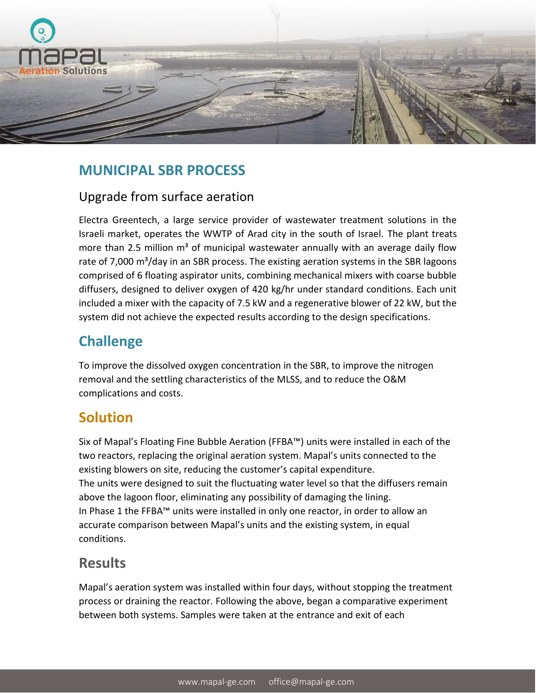

## **MUNICIPAL SBR PROCESS**

#### Upgrade from surface aeration

Electra Greentech, a large service provider of wastewater treatment solutions in the Israeli market, operates the WWTP of Arad city in the south of Israel. The plant treats more than 2.5 million  $m<sup>3</sup>$  of municipal wastewater annually with an average daily flow rate of 7,000  $\text{m}^3$ /day in an SBR process. The existing aeration systems in the SBR lagoons comprised of 6 floating aspirator units, combining mechanical mixers with coarse bubble diffusers, designed to deliver oxygen of 420 kg/hr under standard conditions. Each unit included a mixer with the capacity of 7.5 kW and a regenerative blower of 22 kW, but the system did not achieve the expected results according to the design specifications.

# **Challenge**

To improve the dissolved oxygen concentration in the SBR, to improve the nitrogen removal and the settling characteristics of the MLSS, and to reduce the O&M complications and costs.

## **Solution**

Six of Mapal's Floating Fine Bubble Aeration (FFBA™) units were installed in each of the two reactors, replacing the original aeration system. Mapal's units connected to the existing blowers on site, reducing the customer's capital expenditure. The units were designed to suit the fluctuating water level so that the diffusers remain above the lagoon floor, eliminating any possibility of damaging the lining. In Phase 1 the FFBA™ units were installed in only one reactor, in order to allow an accurate comparison between Mapal's units and the existing system, in equal conditions.

## **Results**

Mapal's aeration system was installed within four days, without stopping the treatment process or draining the reactor. Following the above, began a comparative experiment between both systems. Samples were taken at the entrance and exit of each